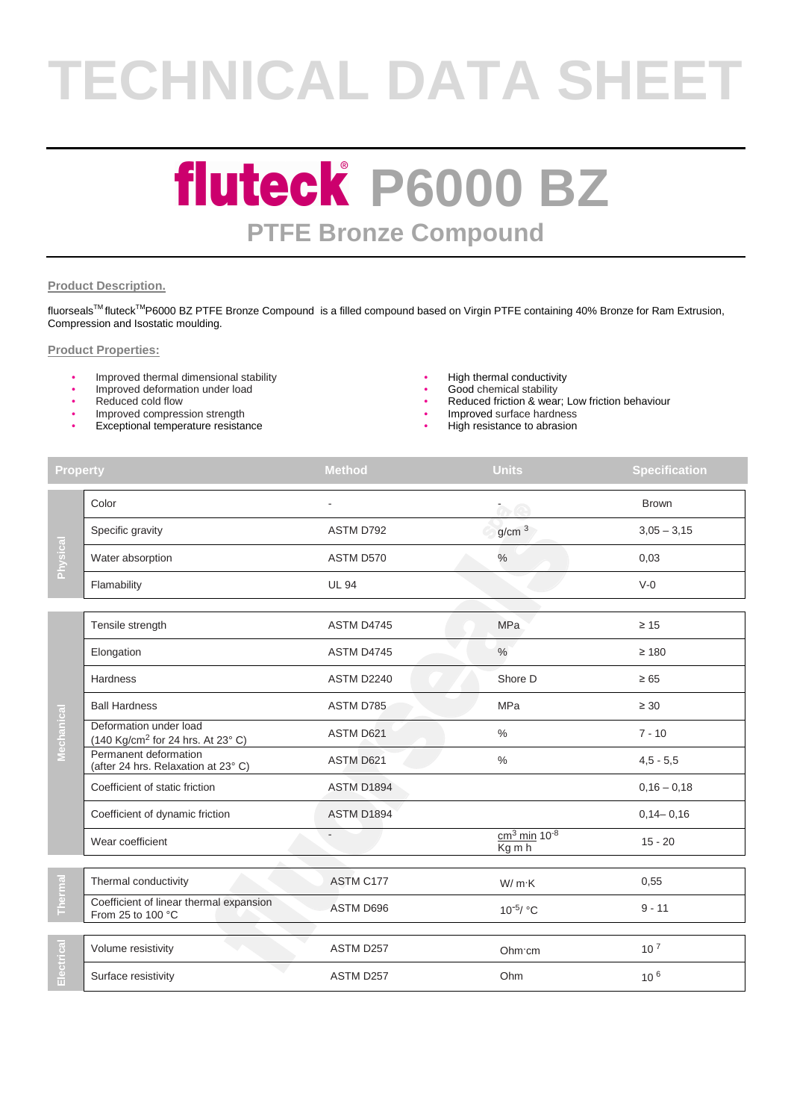# **TECHNICAL DATA SHEET**

### **fluteck P6000 BZ PTFE Bronze Compound**

#### **Product Description.**

fluorseals<sup>™</sup> fluteck<sup>™</sup>P6000 BZ PTFE Bronze Compound is a filled compound based on Virgin PTFE containing 40% Bronze for Ram Extrusion, Compression and Isostatic moulding.

#### **Product Properties:**

- Improved thermal dimensional stability<br>
Improved deformation under load<br>  $\bullet$  Good chemical stability<br>
Good chemical stability
- Improved deformation under load
- 
- Improved compression strength
- Exceptional temperature resistance
- 
- 
- Reduced cold flow  **Reduced friction & wear; Low friction behaviour Reduced friction & wear; Low friction behaviour** 
	- Improved surface hardness
	- High resistance to abrasion

| <b>Property</b> |                                                                         | <b>Method</b> | <b>Units</b>             | <b>Specification</b> |
|-----------------|-------------------------------------------------------------------------|---------------|--------------------------|----------------------|
| Physical        | Color                                                                   |               | $\alpha$ e               | <b>Brown</b>         |
|                 | Specific gravity                                                        | ASTM D792     | g/cm <sup>3</sup>        | $3,05 - 3,15$        |
|                 | Water absorption                                                        | ASTM D570     | $\%$                     | 0,03                 |
|                 | Flamability                                                             | <b>UL 94</b>  |                          | $V-0$                |
|                 | Tensile strength                                                        | ASTM D4745    | <b>MPa</b>               | $\geq 15$            |
|                 | Elongation                                                              | ASTM D4745    | $\%$                     | $\geq 180$           |
|                 | Hardness                                                                | ASTM D2240    | Shore D                  | $\geq 65$            |
|                 | <b>Ball Hardness</b>                                                    | ASTM D785     | MPa                      | $\geq 30$            |
| Mechanical      | Deformation under load<br>(140 Kg/cm <sup>2</sup> for 24 hrs. At 23° C) | ASTM D621     | $\%$                     | $7 - 10$             |
|                 | Permanent deformation<br>(after 24 hrs. Relaxation at 23°C)             | ASTM D621     | $\%$                     | $4,5 - 5,5$          |
|                 | Coefficient of static friction                                          | ASTM D1894    |                          | $0,16 - 0,18$        |
|                 | Coefficient of dynamic friction                                         | ASTM D1894    |                          | $0,14 - 0,16$        |
|                 | Wear coefficient                                                        |               | $cm3 min 10-8$<br>Kg m h | $15 - 20$            |
| Thermal         | Thermal conductivity                                                    | ASTM C177     | W/m·K                    | 0,55                 |
|                 | Coefficient of linear thermal expansion<br>From 25 to 100 °C            | ASTM D696     | $10^{-5}$ / °C           | $9 - 11$             |
| Electrical      | Volume resistivity                                                      | ASTM D257     | Ohm cm                   | 10 <sup>7</sup>      |
|                 | Surface resistivity                                                     | ASTM D257     | Ohm                      | 10 <sup>6</sup>      |